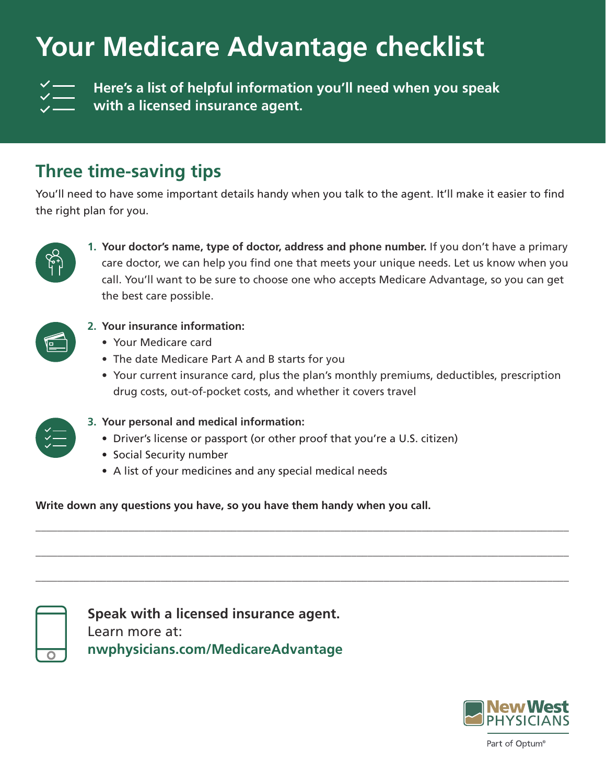## **Your Medicare Advantage checklist**

**Here's a list of helpful information you'll need when you speak with a licensed insurance agent.**

## **Three time-saving tips**

You'll need to have some important details handy when you talk to the agent. It'll make it easier to find the right plan for you.



**1. Your doctor's name, type of doctor, address and phone number.** If you don't have a primary care doctor, we can help you find one that meets your unique needs. Let us know when you call. You'll want to be sure to choose one who accepts Medicare Advantage, so you can get the best care possible.



**2. Your insurance information:**

- Your Medicare card
- The date Medicare Part A and B starts for you
- Your current insurance card, plus the plan's monthly premiums, deductibles, prescription drug costs, out-of-pocket costs, and whether it covers travel



- **3. Your personal and medical information:**
	- Driver's license or passport (or other proof that you're a U.S. citizen)

**\_\_\_\_\_\_\_\_\_\_\_\_\_\_\_\_\_\_\_\_\_\_\_\_\_\_\_\_\_\_\_\_\_\_\_\_\_\_\_\_\_\_\_\_\_\_\_\_\_\_\_\_\_\_\_\_\_\_\_\_\_\_\_\_\_\_\_\_\_\_\_\_\_\_\_\_\_\_\_\_\_\_\_\_\_\_\_\_\_\_\_\_\_\_\_\_\_\_**

**\_\_\_\_\_\_\_\_\_\_\_\_\_\_\_\_\_\_\_\_\_\_\_\_\_\_\_\_\_\_\_\_\_\_\_\_\_\_\_\_\_\_\_\_\_\_\_\_\_\_\_\_\_\_\_\_\_\_\_\_\_\_\_\_\_\_\_\_\_\_\_\_\_\_\_\_\_\_\_\_\_\_\_\_\_\_\_\_\_\_\_\_\_\_\_\_\_\_**

**\_\_\_\_\_\_\_\_\_\_\_\_\_\_\_\_\_\_\_\_\_\_\_\_\_\_\_\_\_\_\_\_\_\_\_\_\_\_\_\_\_\_\_\_\_\_\_\_\_\_\_\_\_\_\_\_\_\_\_\_\_\_\_\_\_\_\_\_\_\_\_\_\_\_\_\_\_\_\_\_\_\_\_\_\_\_\_\_\_\_\_\_\_\_\_\_\_\_**

- Social Security number
- A list of your medicines and any special medical needs

**Write down any questions you have, so you have them handy when you call.**

**Speak with a licensed insurance agent.**  Learn more at: **nwphysicians.com/MedicareAdvantage**



Part of Optum®